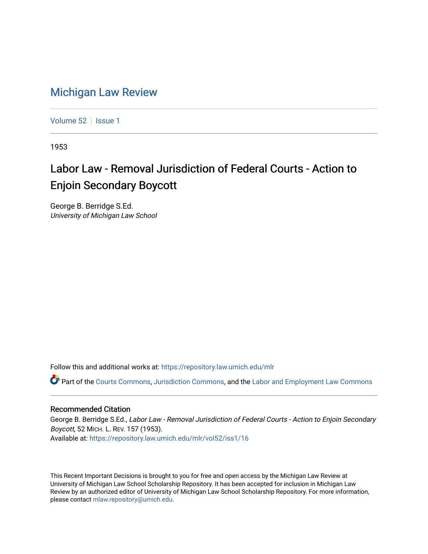## [Michigan Law Review](https://repository.law.umich.edu/mlr)

[Volume 52](https://repository.law.umich.edu/mlr/vol52) | [Issue 1](https://repository.law.umich.edu/mlr/vol52/iss1)

1953

## Labor Law - Removal Jurisdiction of Federal Courts - Action to Enjoin Secondary Boycott

George B. Berridge S.Ed. University of Michigan Law School

Follow this and additional works at: [https://repository.law.umich.edu/mlr](https://repository.law.umich.edu/mlr?utm_source=repository.law.umich.edu%2Fmlr%2Fvol52%2Fiss1%2F16&utm_medium=PDF&utm_campaign=PDFCoverPages) 

Part of the [Courts Commons,](http://network.bepress.com/hgg/discipline/839?utm_source=repository.law.umich.edu%2Fmlr%2Fvol52%2Fiss1%2F16&utm_medium=PDF&utm_campaign=PDFCoverPages) [Jurisdiction Commons,](http://network.bepress.com/hgg/discipline/850?utm_source=repository.law.umich.edu%2Fmlr%2Fvol52%2Fiss1%2F16&utm_medium=PDF&utm_campaign=PDFCoverPages) and the [Labor and Employment Law Commons](http://network.bepress.com/hgg/discipline/909?utm_source=repository.law.umich.edu%2Fmlr%2Fvol52%2Fiss1%2F16&utm_medium=PDF&utm_campaign=PDFCoverPages) 

## Recommended Citation

George B. Berridge S.Ed., Labor Law - Removal Jurisdiction of Federal Courts - Action to Enjoin Secondary Boycott, 52 MICH. L. REV. 157 (1953). Available at: [https://repository.law.umich.edu/mlr/vol52/iss1/16](https://repository.law.umich.edu/mlr/vol52/iss1/16?utm_source=repository.law.umich.edu%2Fmlr%2Fvol52%2Fiss1%2F16&utm_medium=PDF&utm_campaign=PDFCoverPages) 

This Recent Important Decisions is brought to you for free and open access by the Michigan Law Review at University of Michigan Law School Scholarship Repository. It has been accepted for inclusion in Michigan Law Review by an authorized editor of University of Michigan Law School Scholarship Repository. For more information, please contact [mlaw.repository@umich.edu.](mailto:mlaw.repository@umich.edu)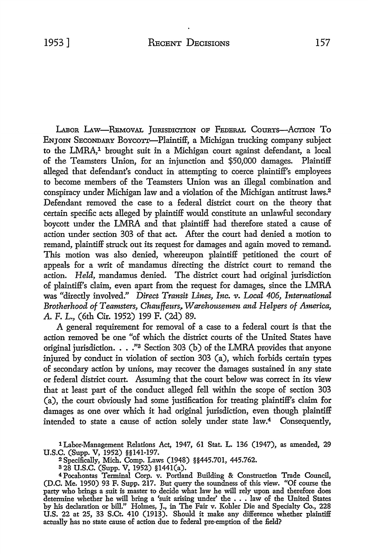LABOR LAW-REMOVAL JURISDICTION OF FEDERAL COURTS-ACTION TO ENJOIN SECONDARY BoYCOTr-Plaintiff, a Michigan trucking company subject to the LMRA,<sup>1</sup> brought suit in a Michigan court against defendant, a local of the Teamsters Union, for an injunction and \$50,000 damages. Plaintiff alleged that defendant's conduct in attempting to coerce plaintiff's employees to become members of the Teamsters Union was an illegal combination and conspiracy under Michigan law and a violation of the Michigan antitrust laws.<sup>2</sup> Defendant removed the case to a federal district court on the theory that certain specific acts alleged by plaintiff would constitute an unlawful secondary boycott under the LMRA and that plaintiff had therefore stated a cause of action under section 303 of that act. After the court had denied a motion to remand, plaintiff struck out its request for damages and again moved to remand. This motion was also denied, whereupon plaintiff petitioned the court of appeals for a writ of mandamus directing the district court to remand the action. *Held,* mandamus denied. The district court had original jurisdiction of plaintiff's claim, even apart from the request for damages, since the LMRA was "directly involved." Direct Transit Lines, Inc. v. Local 406, International *Brotherhood of Teamsters, Chauffeurs,. Warehousemen and Helpers of America,*  A F. L., (6th Cir. 1952) 199 F. (2d) 89.

A general requirement for removal of a case to a federal court is that the action removed be one "of which the district courts of the United States have original jurisdiction. . . ."<sup>3</sup> Section 303 (b) of the LMRA provides that anyone injured by conduct in violation of section  $303$  (a), which forbids certain types of secondary action by unions, may recover the damages sustained in any state or federal district court. Assuming that the court below was correct in its view that at least part of the conduct alleged fell within the scope of section 303 (a), the court obviously had some justification for treating plaintiff's claim for damages as one over which it had original jurisdiction, even though plaintiff intended to state a cause of action solely under state law.4 Consequently,

1 Labor-Management Relations Act, 1947, 61 Stat. L. 136 (1947), as amended, 29 U.S.C. (Supp. V, 1952) §§141-197.

<sup>2</sup>Specffically, Mich. Comp. Laws (1948) §§445.701, 445.762.

s 28 U.S.C. (Supp. V, 1952) §144l(a).

4 Pocahontas Terminal Corp. v. Portland Building &: Construction Trade Council, (D.C. Me. 1950) 93 F. Supp. 217. But query the soundness of this view. "Of course the party who brings a suit is master to decide what law he will rely upon and therefore does party who brings a suit is inaster to declare what law het win tely upon and ineterore does<br>determine whether he will bring a 'suit arising under' the  $\ldots$  law of the United States<br>by his declaration or bill." Holmes, J., U.S. 22 at 25, 33 S.Ct. 410 (1913). Should it make any difference whether plaintiff actually has no state cause of action due to federal pre-emption of the field?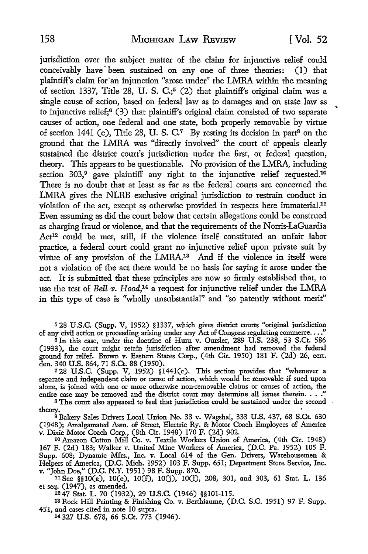jurisdiction over the subject matter of the claim for injunctive relief could conceivably have been sustained on any one of three theories: (1) that plaintiff's claim for an injunction "arose under" the LMRA within the meaning of section 1337, Title 28, U. S. C.;<sup>5</sup> (2) that plaintiff's original claim was a single cause of action, based on federal law as to damages and on state law as to injunctive relief;6 (3) that plaintiff's original claim consisted of two separate causes of action, one federal and one state, both properly removable by virtue of section 1441 (c), Title 28, U. S. C.<sup>7</sup> By resting its decision in part<sup>8</sup> on the ground that the LMRA was "directly involved" the court of appeals clearly sustained the district court's jurisdiction under the first, or federal question, theory. This appears to be questionable. No provision of the LMRA, including section  $303$ ,<sup>9</sup> gave plaintiff any right to the injunctive relief requested.<sup>10</sup> There is no doubt that at least as far as the federal courts are concerned the LMRA gives the NLRB exclusive original jurisdiction to restrain conduct in violation of the act, except as otherwise provided in respects here immaterial.<sup>11</sup> Even assuming as did the court below that certain allegations could be construed as charging fraud or violence, and that the requirements of the Norris-LaGuardia Act<sup>12</sup> could be met, still, if the violence itself constituted an unfair labor practice, a federal court could grant no injunctive relief upon private suit by virtue of any provision of the LMRA.18 And if the violence in itself were not a violation of the act there would be no basis for saying it arose under the act. It is submitted that these principles are now so firmly established that, to use the test of *Bell v. Hood*,<sup>14</sup> a request for injunctive relief under the LMRA in this type of case is "wholly unsubstantial" and "so patently without merit"

5 28 U.S.C. (Supp. V, 1952) §1337, which gives district courts "original jurisdiction of any civil action or proceeding arising under any Act of Congress regulating commerce....

<sup>6</sup> In this case, under the doctrine of Hum v. Oursler, 289 U.S. 238, 53 S.Ct. 586 (1933), the court might retain jurisdiction after amendment had removed the federal ground for relief. Brown v. Eastern States Corp., (4th Cir. 1950) 181 F. (2d) 26, cert. den. 340 U.S. 864, 71 S.Ct. 88 (1950).

728 U.S.C. (Supp. V, 1952) §1441(c). This section provides that "whenever a separate and independent claim or cause of action, which would be removable if sued upon alone, is joined with one or more otherwise non-removable claims or causes of action, the entire case may be removed and the district court may determine all issues therein. . . ."

s The court also appeared to feel that jurisdiction could be sustained under the second theory.

<sup>9</sup> Bakery Sales Drivers Local Union No. 33 v. Wagshal, 333 U.S. 437, 68 S.Ct. 630 (1948); Amalgamated Assn. of Street, Electric Ry. & Motor Coach Employees of America v. Dixie Motor Coach Corp., (8th Cir. 1948) 170 F. (2d) 902.

10 Amazon Cotton Mill Co. v. Textile Workers Union of America, (4th Cir. 1948) 167 F. (2d) 183; Walker v. United Mine Workers of America, (D.C. Pa. 1952) 105 F. Supp. 608; Dynamic Mfrs., Inc. v. Local 614 of the Gen. Drivers, Warehousemen & Helpers of America, (D.C. Mich. 1952) 103 F. Supp. 651; Department Store Service, Inc. v. "John Doe,'' (D.C. N.Y. 1951) 98 F. Supp. 870.

<sup>11</sup>See §§lO(a), lO(e), lO(f), lO(j), 10(1), 208, 301, and 303, 61 Stat. L. 136 et seq. (1947), as amended.

1247 Stat. L. 70 (1932), 29 U.S.C. (1946) §§101-115.

1s Rock Hill Printing & Finishing Co. v. Berthiaume, (D.C. S.C. 1951) 97 F. Supp. 451, and cases cited in note 10 supra.

14 327 U.S. 678, 66 S.Ct. 773 (1946).